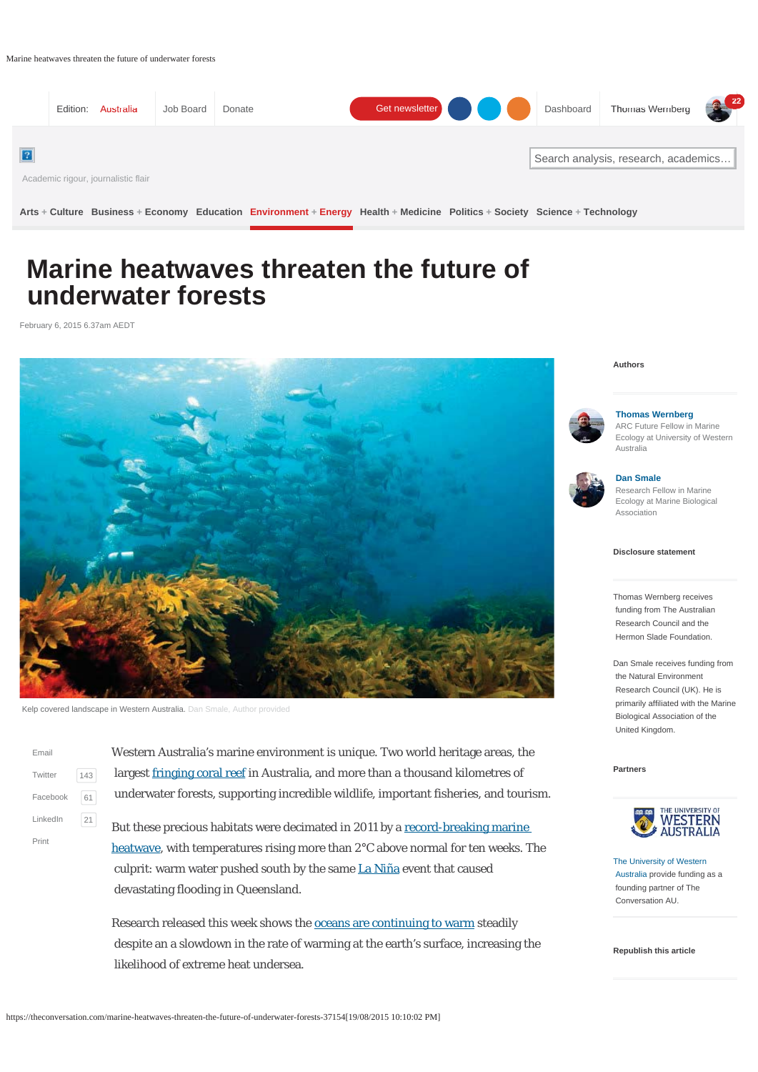Marine heatwaves threaten the future of underwater forests



**Arts + Culture Business + Economy Education Environment + Energy Health + Medicine Politics + Society Science + Technology**

# **Marine heatwaves threaten the future of underwater forests**

February 6, 2015 6.37am AEDT



Kelp covered landscape in Western Australia. Dan Smale, Author provided

| Fmail    |     |
|----------|-----|
| Twitter  | 143 |
| Facebook | 61  |
| LinkedIn | 21  |
| Print    |     |

Western Australia's marine environment is unique. Two world heritage areas, the largest fringing coral reef in Australia, and more than a thousand kilometres of underwater forests, supporting incredible wildlife, important fisheries, and tourism.

But these precious habitats were decimated in 2011 by a record-breaking marine heatwave, with temperatures rising more than 2°C above normal for ten weeks. The culprit: warm water pushed south by the same La Niña event that caused devastating flooding in Queensland.

Research released this week shows the oceans are continuing to warm steadily despite an a slowdown in the rate of warming at the earth's surface, increasing the likelihood of extreme heat undersea.

#### **Authors**



### **Thomas Wernberg**

ARC Future Fellow in Marine Ecology at University of Western Australia



### **Dan Smale**

Research Fellow in Marine Ecology at Marine Biological Association

#### **Disclosure statement**

Thomas Wernberg receives funding from The Australian Research Council and the Hermon Slade Foundation.

Dan Smale receives funding from the Natural Environment Research Council (UK). He is primarily affiliated with the Marine Biological Association of the United Kingdom.

**Partners**



The University of Western Australia provide funding as a founding partner of The Conversation AU.

#### **Republish this article**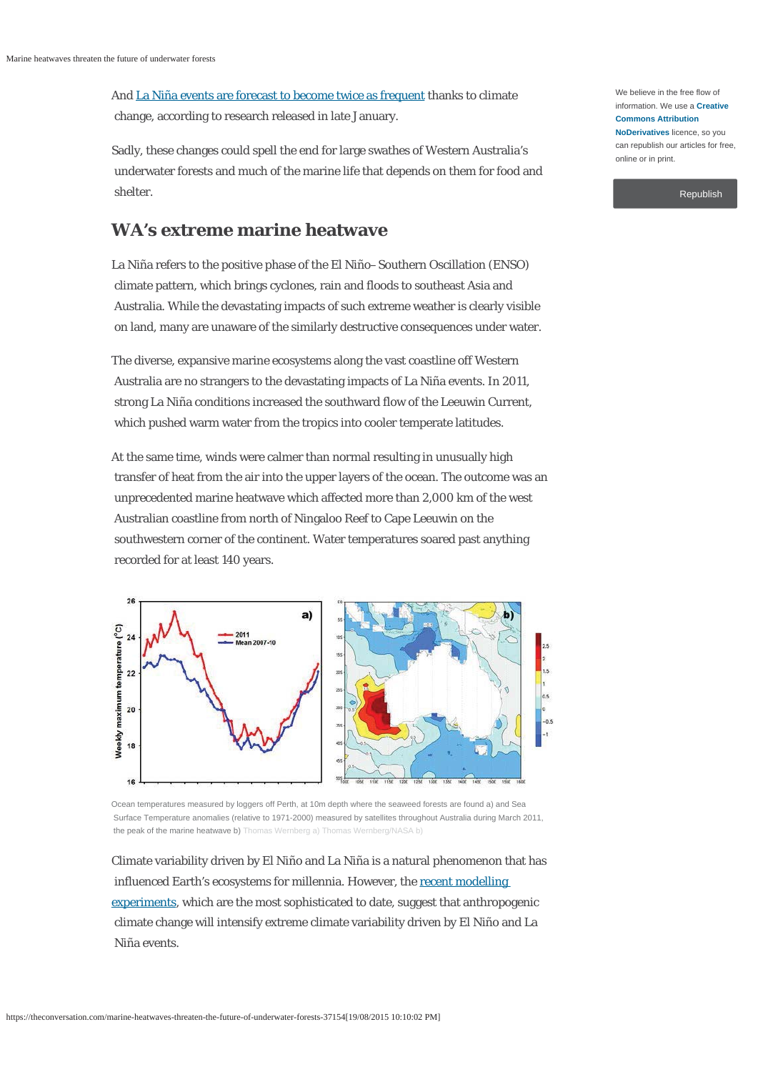And La Niña events are forecast to become twice as frequent thanks to climate change, according to research released in late January.

Sadly, these changes could spell the end for large swathes of Western Australia's underwater forests and much of the marine life that depends on them for food and shelter.

### **WA's extreme marine heatwave**

La Niña refers to the positive phase of the El Niño–Southern Oscillation (ENSO) climate pattern, which brings cyclones, rain and floods to southeast Asia and Australia. While the devastating impacts of such extreme weather is clearly visible on land, many are unaware of the similarly destructive consequences under water.

The diverse, expansive marine ecosystems along the vast coastline off Western Australia are no strangers to the devastating impacts of La Niña events. In 2011, strong La Niña conditions increased the southward flow of the Leeuwin Current, which pushed warm water from the tropics into cooler temperate latitudes.

At the same time, winds were calmer than normal resulting in unusually high transfer of heat from the air into the upper layers of the ocean. The outcome was an unprecedented marine heatwave which affected more than 2,000 km of the west Australian coastline from north of Ningaloo Reef to Cape Leeuwin on the southwestern corner of the continent. Water temperatures soared past anything recorded for at least 140 years.



Ocean temperatures measured by loggers off Perth, at 10m depth where the seaweed forests are found a) and Sea Surface Temperature anomalies (relative to 1971-2000) measured by satellites throughout Australia during March 2011, the peak of the marine heatwave b) Thomas Wernberg a) Thomas Wernberg/NASA b)

Climate variability driven by El Niño and La Niña is a natural phenomenon that has influenced Earth's ecosystems for millennia. However, the recent modelling experiments, which are the most sophisticated to date, suggest that anthropogenic climate change will intensify extreme climate variability driven by El Niño and La Niña events.

We believe in the free flow of information. We use a **Creative Commons Attribution NoDerivatives** licence, so you can republish our articles for free, online or in print.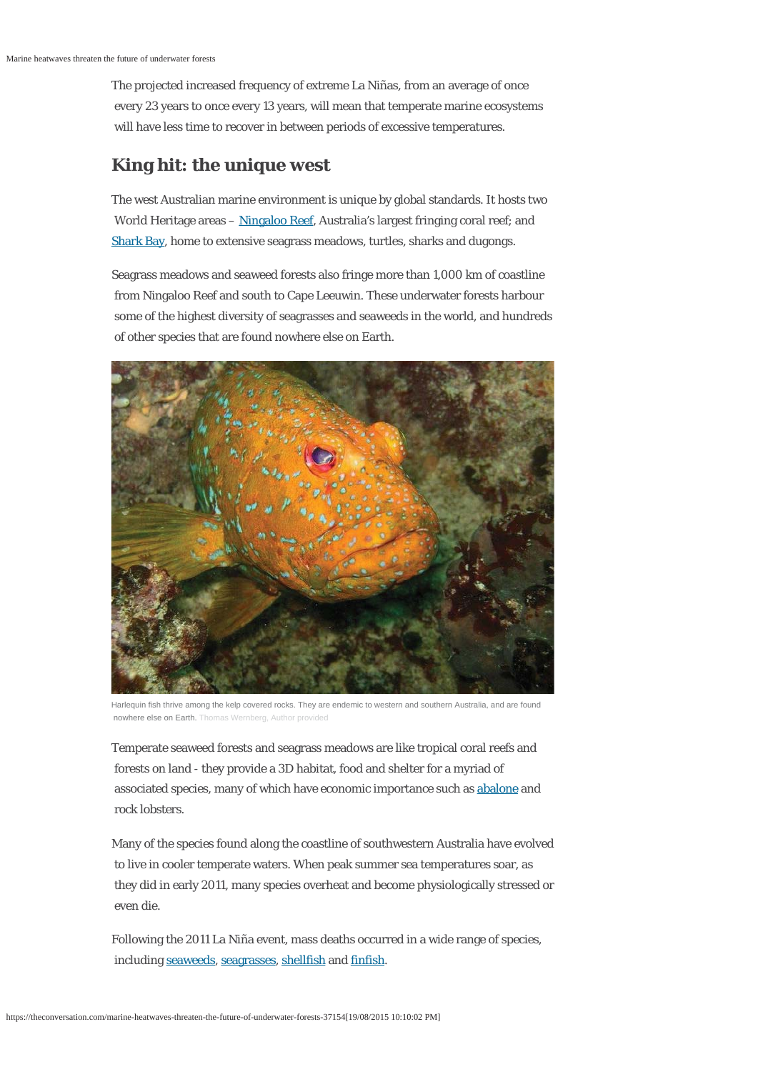The projected increased frequency of extreme La Niñas, from an average of once every 23 years to once every 13 years, will mean that temperate marine ecosystems will have less time to recover in between periods of excessive temperatures.

# **King hit: the unique west**

The west Australian marine environment is unique by global standards. It hosts two World Heritage areas – Ningaloo Reef, Australia's largest fringing coral reef; and Shark Bay, home to extensive seagrass meadows, turtles, sharks and dugongs.

Seagrass meadows and seaweed forests also fringe more than 1,000 km of coastline from Ningaloo Reef and south to Cape Leeuwin. These underwater forests harbour some of the highest diversity of seagrasses and seaweeds in the world, and hundreds of other species that are found nowhere else on Earth.



Harlequin fish thrive among the kelp covered rocks. They are endemic to western and southern Australia, and are found nowhere else on Earth. Thomas Wernberg, Author provided

Temperate seaweed forests and seagrass meadows are like tropical coral reefs and forests on land - they provide a 3D habitat, food and shelter for a myriad of associated species, many of which have economic importance such as abalone and rock lobsters.

Many of the species found along the coastline of southwestern Australia have evolved to live in cooler temperate waters. When peak summer sea temperatures soar, as they did in early 2011, many species overheat and become physiologically stressed or even die.

Following the 2011 La Niña event, mass deaths occurred in a wide range of species, including seaweeds, seagrasses, shellfish and finfish.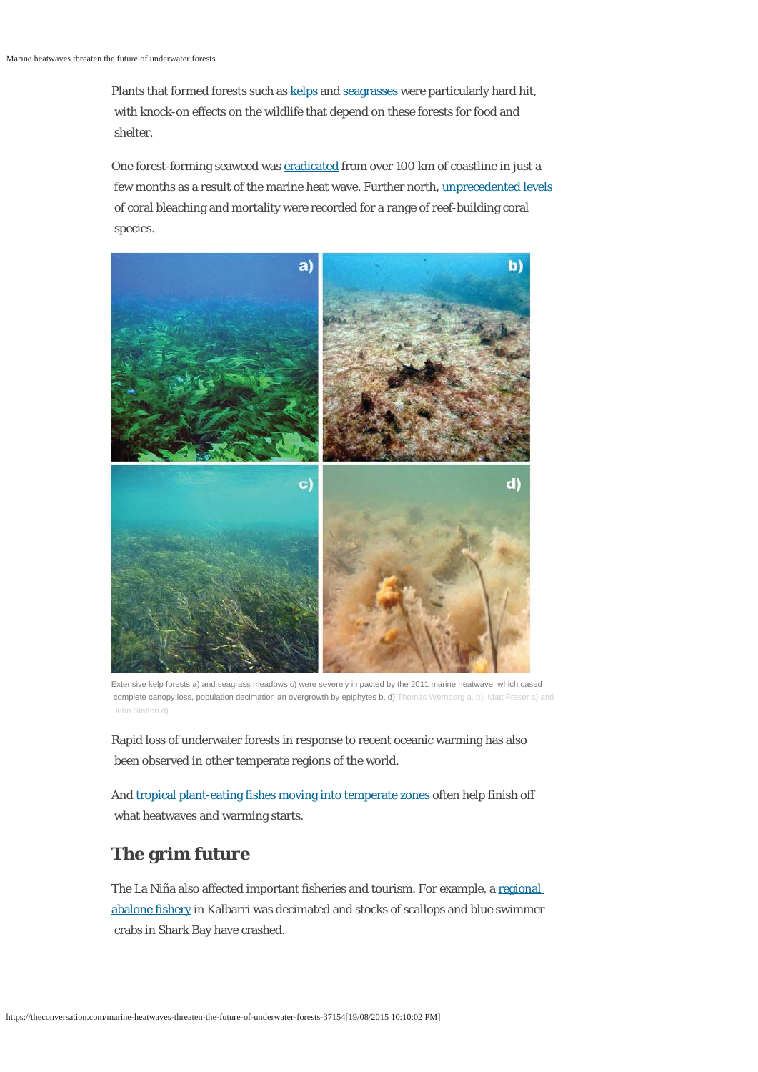Plants that formed forests such as kelps and seagrasses were particularly hard hit, with knock-on effects on the wildlife that depend on these forests for food and shelter.

One forest-forming seaweed was eradicated from over 100 km of coastline in just a few months as a result of the marine heat wave. Further north, unprecedented levels of coral bleaching and mortality were recorded for a range of reef-building coral species.



Extensive kelp forests a) and seagrass meadows c) were severely impacted by the 2011 marine heatwave, which cased complete canopy loss, population decimation an overgrowth by epiphytes b, d) Thomas Wernberg a, b), Matt Fraser c) and John Statton d)

Rapid loss of underwater forests in response to recent oceanic warming has also been observed in other temperate regions of the world.

And tropical plant-eating fishes moving into temperate zones often help finish off what heatwaves and warming starts.

## **The grim future**

The La Niña also affected important fisheries and tourism. For example, a regional abalone fishery in Kalbarri was decimated and stocks of scallops and blue swimmer crabs in Shark Bay have crashed.